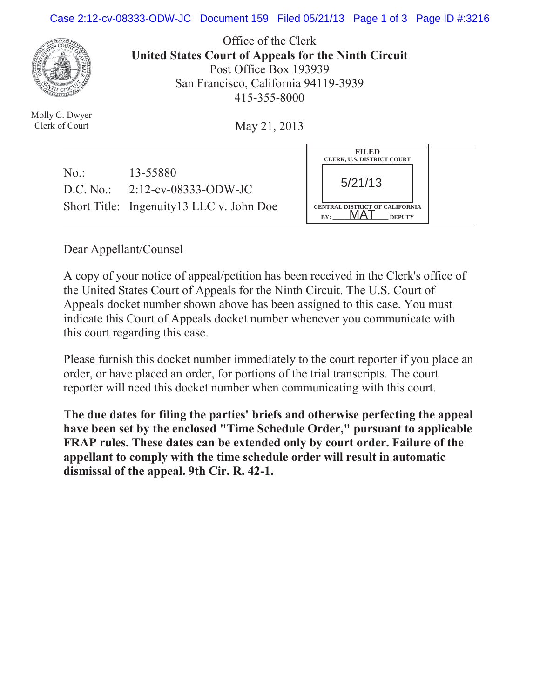## Case 2:12-cv-08333-ODW-JC Document 159 Filed 05/21/13 Page 1 of 3 Page ID #:3216



Molly C. Dwyer Clerk of Court

Office of the Clerk **United States Court of Appeals for the Ninth Circuit**  Post Office Box 193939 San Francisco, California 94119-3939 415-355-8000

May 21, 2013

|     |                                                                                            | <b>FILED</b><br><b>CLERK, U.S. DISTRICT COURT</b>                        |
|-----|--------------------------------------------------------------------------------------------|--------------------------------------------------------------------------|
| No. | 13-55880<br>D.C. No.: $2:12$ -cv-08333-ODW-JC<br>Short Title: Ingenuity 13 LLC v. John Doe | 5/21/13<br><b>CENTRAL DISTRICT OF CALIFORNIA</b><br>BY:<br><b>DEPUTY</b> |

Dear Appellant/Counsel

A copy of your notice of appeal/petition has been received in the Clerk's office of the United States Court of Appeals for the Ninth Circuit. The U.S. Court of Appeals docket number shown above has been assigned to this case. You must indicate this Court of Appeals docket number whenever you communicate with this court regarding this case.

Please furnish this docket number immediately to the court reporter if you place an order, or have placed an order, for portions of the trial transcripts. The court reporter will need this docket number when communicating with this court.

**The due dates for filing the parties' briefs and otherwise perfecting the appeal have been set by the enclosed "Time Schedule Order," pursuant to applicable FRAP rules. These dates can be extended only by court order. Failure of the appellant to comply with the time schedule order will result in automatic dismissal of the appeal. 9th Cir. R. 42-1.**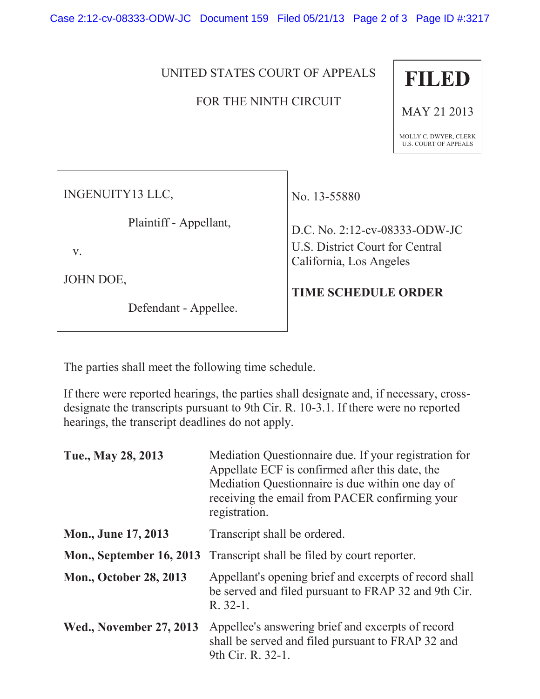Case 2:12-cv-08333-ODW-JC Document 159 Filed 05/21/13 Page 2 of 3 Page ID #:3217

UNITED STATES COURT OF APPEALS

## FOR THE NINTH CIRCUIT



MAY 21 2013

MOLLY C. DWYER, CLERK U.S. COURT OF APPEALS

INGENUITY13 LLC,

Plaintiff - Appellant,

v.

JOHN DOE,

Defendant - Appellee.

No. 13-55880

D.C. No. 2:12-cv-08333-ODW-JC U.S. District Court for Central California, Los Angeles

## **TIME SCHEDULE ORDER**

The parties shall meet the following time schedule.

If there were reported hearings, the parties shall designate and, if necessary, crossdesignate the transcripts pursuant to 9th Cir. R. 10-3.1. If there were no reported hearings, the transcript deadlines do not apply.

| Tue., May 28, 2013              | Mediation Questionnaire due. If your registration for<br>Appellate ECF is confirmed after this date, the<br>Mediation Questionnaire is due within one day of<br>receiving the email from PACER confirming your<br>registration. |
|---------------------------------|---------------------------------------------------------------------------------------------------------------------------------------------------------------------------------------------------------------------------------|
| <b>Mon., June 17, 2013</b>      | Transcript shall be ordered.                                                                                                                                                                                                    |
| <b>Mon., September 16, 2013</b> | Transcript shall be filed by court reporter.                                                                                                                                                                                    |
| <b>Mon., October 28, 2013</b>   | Appellant's opening brief and excerpts of record shall<br>be served and filed pursuant to FRAP 32 and 9th Cir.<br>R. 32-1.                                                                                                      |
| <b>Wed., November 27, 2013</b>  | Appellee's answering brief and excerpts of record<br>shall be served and filed pursuant to FRAP 32 and<br>9th Cir. R. 32-1.                                                                                                     |